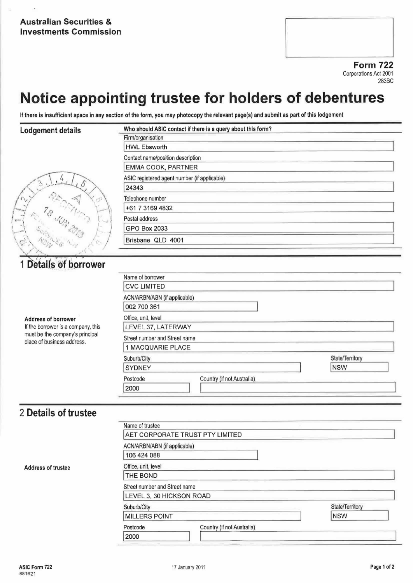Form 722 Corporations Act <sup>2001</sup> 2838C

# Notice appointing trustee for holders of debentures

If there is insufficient space in any section of the form, you may photocopy the relevant page(s) and submit as part of this lodgement

Name of borrower

#### Lodgement details

| EMMA COOK,          |
|---------------------|
| ASIC registered age |
| 24343               |
| Telephone number    |
| +61 7 3169 483      |
| Postal address      |
| GPO Box 2033        |
| Brisbane QLD        |
|                     |

| Firm/organisation                            |  |
|----------------------------------------------|--|
| <b>HWL Ebsworth</b>                          |  |
| Contact name/position description            |  |
| EMMA COOK, PARTNER                           |  |
| ASIC registered agent number (if applicable) |  |
| 24343                                        |  |
| Telephone number                             |  |
| +61 7 3169 4832                              |  |
| Postal address                               |  |
| <b>GPO Box 2033</b>                          |  |
| Brisbane QLD 4001                            |  |

## 1 Details of borrower

|                                                               | <b>CVC LIMITED</b>                     |                 |
|---------------------------------------------------------------|----------------------------------------|-----------------|
|                                                               | ACN/ARBN/ABN (if applicable)           |                 |
|                                                               | 002 700 361                            |                 |
| Address of borrower                                           | Office, unit, level                    |                 |
| If the borrower is a company, this                            | LEVEL 37, LATERWAY                     |                 |
| must be the company's principal<br>place of business address. | Street number and Street name          |                 |
|                                                               | 1 MACQUARIE PLACE                      |                 |
|                                                               | Suburb/City                            | State/Territory |
|                                                               | <b>SYDNEY</b>                          | <b>NSW</b>      |
|                                                               | Country (if not Australia)<br>Postcode |                 |
|                                                               | 2000                                   |                 |

## 2 Details of trustee

| Name of trustee                        |                 |
|----------------------------------------|-----------------|
| AET CORPORATE TRUST PTY LIMITED        |                 |
| ACN/ARBN/ABN (if applicable)           |                 |
| 106 424 088                            |                 |
| Office, unit, level                    |                 |
| THE BOND                               |                 |
| Street number and Street name          |                 |
| LEVEL 3, 30 HICKSON ROAD               |                 |
| Suburb/City                            | State/Territory |
| <b>MILLERS POINT</b>                   | <b>NSW</b>      |
| Country (if not Australia)<br>Postcode |                 |
| 2000                                   |                 |

Address of trustee